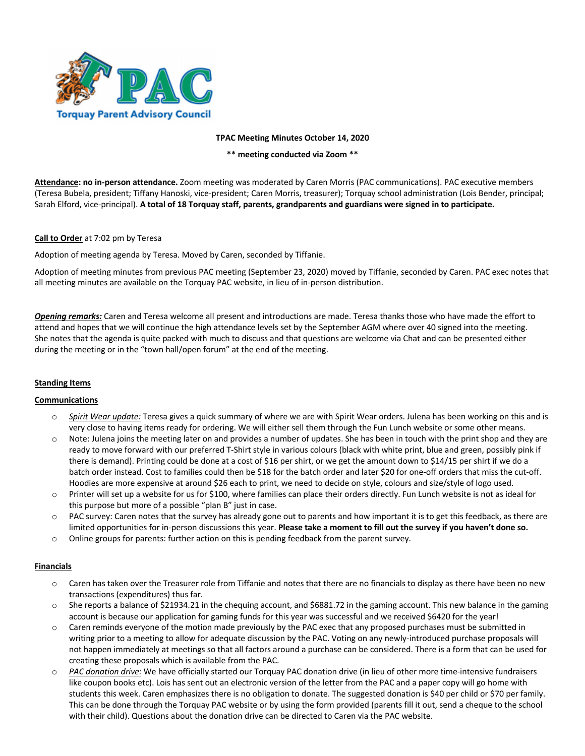

### **TPAC Meeting Minutes October 14, 2020**

**\*\* meeting conducted via Zoom \*\***

**Attendance: no in-person attendance.** Zoom meeting was moderated by Caren Morris (PAC communications). PAC executive members (Teresa Bubela, president; Tiffany Hanoski, vice-president; Caren Morris, treasurer); Torquay school administration (Lois Bender, principal; Sarah Elford, vice-principal). **A total of 18 Torquay staff, parents, grandparents and guardians were signed in to participate.**

## **Call to Order** at 7:02 pm by Teresa

Adoption of meeting agenda by Teresa. Moved by Caren, seconded by Tiffanie.

Adoption of meeting minutes from previous PAC meeting (September 23, 2020) moved by Tiffanie, seconded by Caren. PAC exec notes that all meeting minutes are available on the Torquay PAC website, in lieu of in-person distribution.

*Opening remarks:* Caren and Teresa welcome all present and introductions are made. Teresa thanks those who have made the effort to attend and hopes that we will continue the high attendance levels set by the September AGM where over 40 signed into the meeting. She notes that the agenda is quite packed with much to discuss and that questions are welcome via Chat and can be presented either during the meeting or in the "town hall/open forum" at the end of the meeting.

# **Standing Items**

#### **Communications**

- o *Spirit Wear update:* Teresa gives a quick summary of where we are with Spirit Wear orders. Julena has been working on this and is very close to having items ready for ordering. We will either sell them through the Fun Lunch website or some other means.
- o Note: Julena joins the meeting later on and provides a number of updates. She has been in touch with the print shop and they are ready to move forward with our preferred T-Shirt style in various colours (black with white print, blue and green, possibly pink if there is demand). Printing could be done at a cost of \$16 per shirt, or we get the amount down to \$14/15 per shirt if we do a batch order instead. Cost to families could then be \$18 for the batch order and later \$20 for one-off orders that miss the cut-off. Hoodies are more expensive at around \$26 each to print, we need to decide on style, colours and size/style of logo used.
- o Printer will set up a website for us for \$100, where families can place their orders directly. Fun Lunch website is not as ideal for this purpose but more of a possible "plan B" just in case.
- $\circ$  PAC survey: Caren notes that the survey has already gone out to parents and how important it is to get this feedback, as there are limited opportunities for in-person discussions this year. **Please take a moment to fill out the survey if you haven't done so.**
- o Online groups for parents: further action on this is pending feedback from the parent survey.

#### **Financials**

- o Caren has taken over the Treasurer role from Tiffanie and notes that there are no financials to display as there have been no new transactions (expenditures) thus far.
- o She reports a balance of \$21934.21 in the chequing account, and \$6881.72 in the gaming account. This new balance in the gaming account is because our application for gaming funds for this year was successful and we received \$6420 for the year!
- o Caren reminds everyone of the motion made previously by the PAC exec that any proposed purchases must be submitted in writing prior to a meeting to allow for adequate discussion by the PAC. Voting on any newly-introduced purchase proposals will not happen immediately at meetings so that all factors around a purchase can be considered. There is a form that can be used for creating these proposals which is available from the PAC.
- o *PAC donation drive:* We have officially started our Torquay PAC donation drive (in lieu of other more time-intensive fundraisers like coupon books etc). Lois has sent out an electronic version of the letter from the PAC and a paper copy will go home with students this week. Caren emphasizes there is no obligation to donate. The suggested donation is \$40 per child or \$70 per family. This can be done through the Torquay PAC website or by using the form provided (parents fill it out, send a cheque to the school with their child). Questions about the donation drive can be directed to Caren via the PAC website.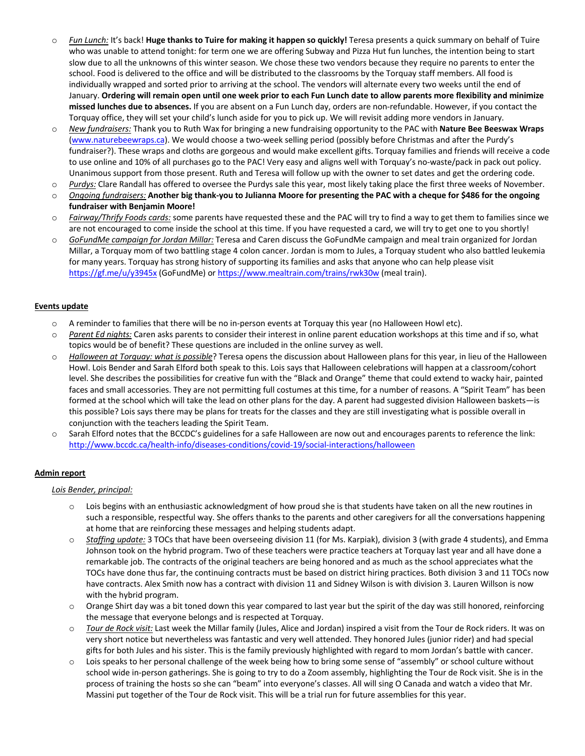- o *Fun Lunch:* It's back! **Huge thanks to Tuire for making it happen so quickly!** Teresa presents a quick summary on behalf of Tuire who was unable to attend tonight: for term one we are offering Subway and Pizza Hut fun lunches, the intention being to start slow due to all the unknowns of this winter season. We chose these two vendors because they require no parents to enter the school. Food is delivered to the office and will be distributed to the classrooms by the Torquay staff members. All food is individually wrapped and sorted prior to arriving at the school. The vendors will alternate every two weeks until the end of January. **Ordering will remain open until one week prior to each Fun Lunch date to allow parents more flexibility and minimize missed lunches due to absences.** If you are absent on a Fun Lunch day, orders are non-refundable. However, if you contact the Torquay office, they will set your child's lunch aside for you to pick up. We will revisit adding more vendors in January.
- o *New fundraisers:* Thank you to Ruth Wax for bringing a new fundraising opportunity to the PAC with **Nature Bee Beeswax Wraps** (www.naturebeewraps.ca). We would choose a two-week selling period (possibly before Christmas and after the Purdy's fundraiser?). These wraps and cloths are gorgeous and would make excellent gifts. Torquay families and friends will receive a code to use online and 10% of all purchases go to the PAC! Very easy and aligns well with Torquay's no-waste/pack in pack out policy. Unanimous support from those present. Ruth and Teresa will follow up with the owner to set dates and get the ordering code.
- o *Purdys:* Clare Randall has offered to oversee the Purdys sale this year, most likely taking place the first three weeks of November.
- o *Ongoing fundraisers:* **Another big thank-you to Julianna Moore for presenting the PAC with a cheque for \$486 for the ongoing fundraiser with Benjamin Moore!**
- o *Fairway/Thrify Foods cards:* some parents have requested these and the PAC will try to find a way to get them to families since we are not encouraged to come inside the school at this time. If you have requested a card, we will try to get one to you shortly!
- o *GoFundMe campaign for Jordan Millar:* Teresa and Caren discuss the GoFundMe campaign and meal train organized for Jordan Millar, a Torquay mom of two battling stage 4 colon cancer. Jordan is mom to Jules, a Torquay student who also battled leukemia for many years. Torquay has strong history of supporting its families and asks that anyone who can help please visit https://gf.me/u/y3945x (GoFundMe) or https://www.mealtrain.com/trains/rwk30w (meal train).

## **Events update**

- o A reminder to families that there will be no in-person events at Torquay this year (no Halloween Howl etc).
- o *Parent Ed nights:* Caren asks parents to consider their interest in online parent education workshops at this time and if so, what topics would be of benefit? These questions are included in the online survey as well.
- o *Halloween at Torquay: what is possible*? Teresa opens the discussion about Halloween plans for this year, in lieu of the Halloween Howl. Lois Bender and Sarah Elford both speak to this. Lois says that Halloween celebrations will happen at a classroom/cohort level. She describes the possibilities for creative fun with the "Black and Orange" theme that could extend to wacky hair, painted faces and small accessories. They are not permitting full costumes at this time, for a number of reasons. A "Spirit Team" has been formed at the school which will take the lead on other plans for the day. A parent had suggested division Halloween baskets—is this possible? Lois says there may be plans for treats for the classes and they are still investigating what is possible overall in conjunction with the teachers leading the Spirit Team.
- o Sarah Elford notes that the BCCDC's guidelines for a safe Halloween are now out and encourages parents to reference the link: http://www.bccdc.ca/health-info/diseases-conditions/covid-19/social-interactions/halloween

#### **Admin report**

*Lois Bender, principal:*

- $\circ$  Lois begins with an enthusiastic acknowledgment of how proud she is that students have taken on all the new routines in such a responsible, respectful way. She offers thanks to the parents and other caregivers for all the conversations happening at home that are reinforcing these messages and helping students adapt.
- o *Staffing update:* 3 TOCs that have been overseeing division 11 (for Ms. Karpiak), division 3 (with grade 4 students), and Emma Johnson took on the hybrid program. Two of these teachers were practice teachers at Torquay last year and all have done a remarkable job. The contracts of the original teachers are being honored and as much as the school appreciates what the TOCs have done thus far, the continuing contracts must be based on district hiring practices. Both division 3 and 11 TOCs now have contracts. Alex Smith now has a contract with division 11 and Sidney Wilson is with division 3. Lauren Willson is now with the hybrid program.
- o Orange Shirt day was a bit toned down this year compared to last year but the spirit of the day was still honored, reinforcing the message that everyone belongs and is respected at Torquay.
- Tour de Rock visit: Last week the Millar family (Jules, Alice and Jordan) inspired a visit from the Tour de Rock riders. It was on very short notice but nevertheless was fantastic and very well attended. They honored Jules (junior rider) and had special gifts for both Jules and his sister. This is the family previously highlighted with regard to mom Jordan's battle with cancer.
- Lois speaks to her personal challenge of the week being how to bring some sense of "assembly" or school culture without school wide in-person gatherings. She is going to try to do a Zoom assembly, highlighting the Tour de Rock visit. She is in the process of training the hosts so she can "beam" into everyone's classes. All will sing O Canada and watch a video that Mr. Massini put together of the Tour de Rock visit. This will be a trial run for future assemblies for this year.